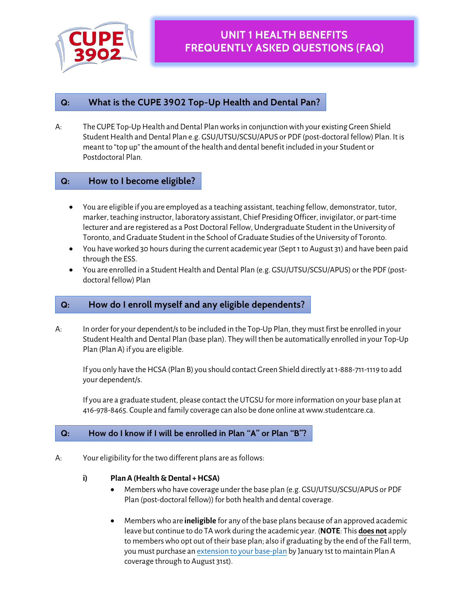

# **Q: What is the CUPE 3902 Top-Up Health and Dental Pan?**

A: The CUPE Top-Up Health and Dental Plan works in conjunction with your existing Green Shield Student Health and Dental Plan e.g. GSU/UTSU/SCSU/APUS or PDF (post-doctoral fellow) Plan. It is meant to "top up" the amount of the health and dental benefit included in your Student or Postdoctoral Plan.

## **Q: How to I become eligible?**

- You are eligible if you are employed as a teaching assistant, teaching fellow, demonstrator, tutor, marker, teaching instructor, laboratory assistant, Chief Presiding Officer, invigilator, or part-time lecturer and are registered as a Post Doctoral Fellow, Undergraduate Student in the University of Toronto, and Graduate Student in the School of Graduate Studies of the University of Toronto.
- You have worked 30 hours during the current academic year (Sept 1 to August 31) and have been paid through the ESS.
- You are enrolled in a Student Health and Dental Plan (e.g. GSU/UTSU/SCSU/APUS) or the PDF (postdoctoral fellow) Plan

### **Q: How do I enroll myself and any eligible dependents?**

A: In order for your dependent/s to be included in the Top-Up Plan, they must first be enrolled in your Student Health and Dental Plan (base plan). They will then be automatically enrolled in your Top-Up Plan (Plan A) if you are eligible.

If you only have the HCSA (Plan B) you should contact Green Shield directly at 1-888-711-1119 to add your dependent/s.

If you are a graduate student, please contact the UTGSU for more information on your base plan at 416-978-8465. Couple and family coverage can also be done online at www.studentcare.ca.

## **Q: How do I know if I will be enrolled in Plan "A" or Plan "B"?**

A: Your eligibility for the two different plans are as follows:

#### **i) Plan A(Health & Dental + HCSA)**

- Members who have coverage under the base plan (e.g. GSU/UTSU/SCSU/APUS or PDF Plan (post-doctoral fellow)) for both health and dental coverage.
- Members who are **ineligible** for any of the base plans because of an approved academic leave but continue to do TA work during the academic year. (**NOTE**: This **does not** apply to members who opt out of their base plan; also if graduating by the end of the Fall term, you must purchase a[n extension to your base-plan](https://studentcare.ca/rte/en/IHaveAPlan_UniversityofTorontoGraduateStudentsUnionUTGSU_ChangeofCoverage_12MonthExtendedCoverage) by January 1st to maintain Plan A coverage through to August 31st).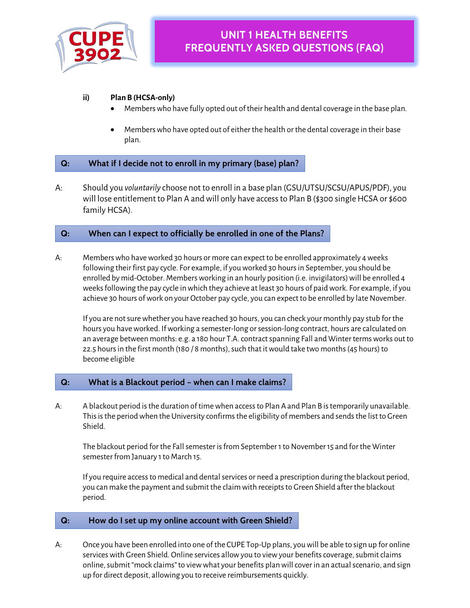

# **ii) Plan B (HCSA-only)**

- Members who have fully opted out of their health and dental coverage in the base plan.
- Members who have opted out of either the health or the dental coverage in their base plan.

# **Q: What if I decide not to enroll in my primary (base) plan?**

A: Should you *voluntarily* choose not to enroll in a base plan (GSU/UTSU/SCSU/APUS/PDF), you will lose entitlement to Plan A and will only have access to Plan B (\$300 single HCSA or \$600 family HCSA).

## **Q: When can I expect to officially be enrolled in one of the Plans?**

A: Members who have worked 30 hours or more can expect to be enrolled approximately 4 weeks following their first pay cycle. For example, if you worked 30 hours in September, you should be enrolled by mid-October. Members working in an hourly position (i.e. invigilators) will be enrolled 4 weeks following the pay cycle in which they achieve at least 30 hours of paid work. For example, if you achieve 30 hours of work on your October pay cycle, you can expect to be enrolled by late November.

If you are not sure whether you have reached 30 hours, you can check your monthly pay stub for the hours you have worked. If working a semester-long or session-long contract, hours are calculated on an average between months: e.g. a 180 hour T.A. contract spanning Fall and Winter terms works out to 22.5 hours in the first month (180 / 8 months), such that it would take two months (45 hours) to become eligible

## **Q: What is a Blackout period – when can I make claims?**

A: A blackout period is the duration of time when access to Plan A and Plan B is temporarily unavailable. This is the period when the University confirms the eligibility of members and sends the list to Green Shield.

The blackout period for the Fall semester is from September 1 to November 15 and for the Winter semester from January 1 to March 15.

If you require access to medical and dental services or need a prescription during the blackout period, you can make the payment and submit the claim with receipts to Green Shield after the blackout period.

## **Q: How do I set up my online account with Green Shield?**

A: Once you have been enrolled into one of the CUPE Top-Up plans, you will be able to sign up for online services with Green Shield. Online services allow you to view your benefits coverage, submit claims online, submit "mock claims" to view what your benefits plan will cover in an actual scenario, and sign up for direct deposit, allowing you to receive reimbursements quickly.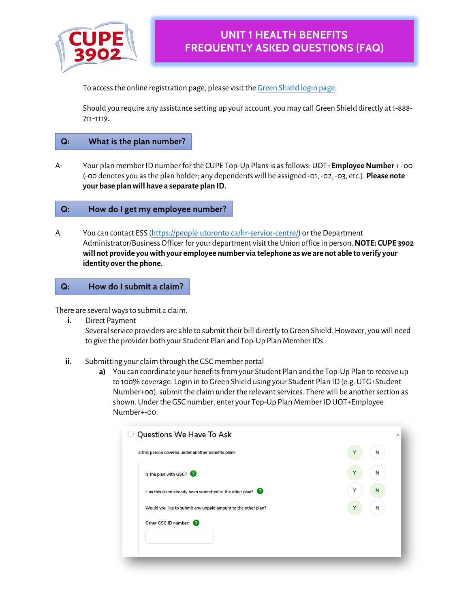

To access the online registration page, please visit th[e Green Shield login page.](https://gsceverywhere.ca/login)

Should you require any assistance setting up your account, you may call Green Shield directly at 1-888- 711-1119.

# **Q: What is the plan number?**

A: Your plan member ID number for the CUPE Top-Up Plansis as follows: UOT+**Employee Number** + -00 (-00 denotes you as the plan holder; any dependents will be assigned -01, -02, -03, etc.). **Please note your base plan will have a separate plan ID.**

## **Q: How do I get my employee number?**

A: You can contact ESS [\(https://people.utoronto.ca/hr-service-centre/\)](https://people.utoronto.ca/hr-service-centre/) or the Department Administrator/Business Officer for your department visit the Union office in person.**NOTE: CUPE 3902 will not provide you with your employee number via telephone as we are not able to verify your identity over the phone.**

#### **Q: How do I submit a claim?**

There are several ways to submit a claim.

**i.** Direct Payment

Several service providers are able to submit their bill directly to Green Shield.However, you will need to give the provider both your Student Plan and Top-Up Plan Member IDs.

- **ii.** Submitting your claim through the GSC member portal
	- **a)** You can coordinate your benefits from your Student Plan and the Top-Up Plan to receive up to 100% coverage. Login in to Green Shield using your Student Plan ID (e.g. UTG+Student Number+00), submit the claim under the relevant services. There will be another section as shown. Under the GSC number, enter your Top-Up Plan Member ID UOT+Employee Number+-00.

| Questions We Have To Ask                                      | $\hat{\phantom{a}}$ |
|---------------------------------------------------------------|---------------------|
| Is this person covered under another benefits plan?           | Y<br>N              |
| Is the plan with GSC?                                         | Y<br>N              |
| Has this claim already been submitted to the other plan?      | Y<br>$\mathbf N$    |
| Would you like to submit any unpaid amount to the other plan? | Y<br>N              |
| Other GSC ID number:                                          |                     |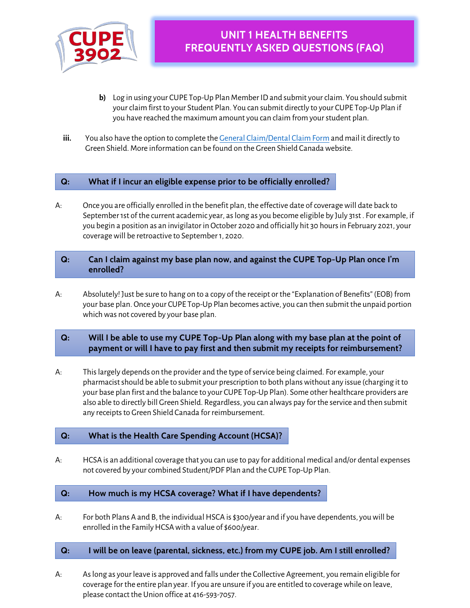

- **b)** Log in using your CUPE Top-Up Plan Member ID and submit your claim. You should submit your claim first to your Student Plan. You can submit directly to your CUPE Top-Up Plan if you have reached the maximum amount you can claim from your student plan.
- **iii.** You also have the option to complete th[e General Claim/Dental Claim Form](https://onlineservices.greenshield.ca/claimforms/general-submission-294-en.pdf) and mail it directly to Green Shield. More information can be found on the Green Shield Canada website.

## **Q: What if I incur an eligible expense prior to be officially enrolled?**

A: Once you are officially enrolled in the benefit plan, the effective date of coverage will date back to September 1st of the current academic year, as long as you become eligible by July 31st . For example, if you begin a position as an invigilator in October 2020 and officially hit 30 hours in February 2021, your coverage will be retroactive to September 1, 2020.

### **Q: Can I claim against my base plan now, and against the CUPE Top-Up Plan once I'm enrolled?**

A: Absolutely! Just be sure to hang on to a copy of the receipt or the "Explanation of Benefits" (EOB) from your base plan. Once your CUPE Top-Up Plan becomes active, you can then submit the unpaid portion which was not covered by your base plan.

## **Q: Will I be able to use my CUPE Top-Up Plan along with my base plan at the point of payment or will I have to pay first and then submit my receipts for reimbursement?**

A: This largely depends on the provider and the type of service being claimed. For example, your pharmacist should be able to submit your prescription to both plans without any issue (charging it to your base plan first and the balance to your CUPE Top-Up Plan). Some other healthcare providers are also able to directly bill Green Shield. Regardless, you can always pay for the service and then submit any receipts to Green Shield Canada for reimbursement.

## **Q: What is the Health Care Spending Account (HCSA)?**

A: HCSA is an additional coverage that you can use to pay for additional medical and/or dental expenses not covered by your combined Student/PDF Plan and the CUPE Top-Up Plan.

## **Q: How much is my HCSA coverage? What if I have dependents?**

A: For both Plans A and B, the individual HSCA is \$300/year and if you have dependents, you will be enrolled in the Family HCSA with a value of \$600/year.

## **Q: I will be on leave (parental, sickness, etc.) from my CUPE job. Am I still enrolled?**

A: As long as your leave is approved and falls under the Collective Agreement, you remain eligible for coverage for the entire plan year. If you are unsure if you are entitled to coverage while on leave, please contact the Union office at 416-593-7057.